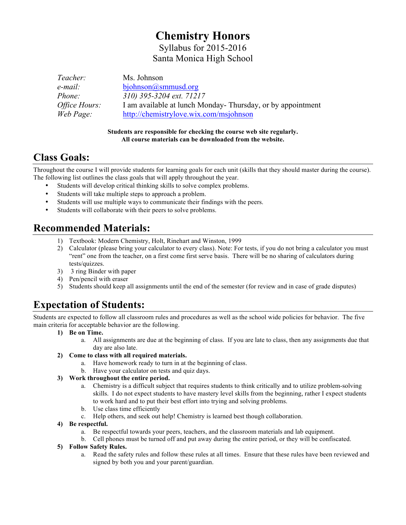# **Chemistry Honors**

Syllabus for 2015-2016 Santa Monica High School

| Teacher:             | Ms. Johnson                                                |
|----------------------|------------------------------------------------------------|
| e-mail:              | bjohnson@smmusd.org                                        |
| <i>Phone:</i>        | 310) 395-3204 ext. 71217                                   |
| <i>Office Hours:</i> | I am available at lunch Monday-Thursday, or by appointment |
| Web Page:            | http://chemistrylove.wix.com/msjohnson                     |

#### **Students are responsible for checking the course web site regularly. All course materials can be downloaded from the website.**

### **Class Goals:**

Throughout the course I will provide students for learning goals for each unit (skills that they should master during the course). The following list outlines the class goals that will apply throughout the year.

- Students will develop critical thinking skills to solve complex problems.
- Students will take multiple steps to approach a problem.
- Students will use multiple ways to communicate their findings with the peers.
- Students will collaborate with their peers to solve problems.

## **Recommended Materials:**

- 1) Textbook: Modern Chemistry, Holt, Rinehart and Winston, 1999
- 2) Calculator (please bring your calculator to every class). Note: For tests, if you do not bring a calculator you must "rent" one from the teacher, on a first come first serve basis. There will be no sharing of calculators during tests/quizzes.
- 3) 3 ring Binder with paper
- 4) Pen/pencil with eraser
- 5) Students should keep all assignments until the end of the semester (for review and in case of grade disputes)

# **Expectation of Students:**

Students are expected to follow all classroom rules and procedures as well as the school wide policies for behavior. The five main criteria for acceptable behavior are the following.

- **1) Be on Time.** 
	- a. All assignments are due at the beginning of class. If you are late to class, then any assignments due that day are also late.
- **2) Come to class with all required materials.**
	- a. Have homework ready to turn in at the beginning of class.
	- b. Have your calculator on tests and quiz days.

#### **3) Work throughout the entire period.**

- a. Chemistry is a difficult subject that requires students to think critically and to utilize problem-solving skills. I do not expect students to have mastery level skills from the beginning, rather I expect students to work hard and to put their best effort into trying and solving problems.
- b. Use class time efficiently
- c. Help others, and seek out help! Chemistry is learned best though collaboration.
- **4) Be respectful.**
	- a. Be respectful towards your peers, teachers, and the classroom materials and lab equipment.
	- b. Cell phones must be turned off and put away during the entire period, or they will be confiscated.
- **5) Follow Safety Rules.**
	- a. Read the safety rules and follow these rules at all times. Ensure that these rules have been reviewed and signed by both you and your parent/guardian.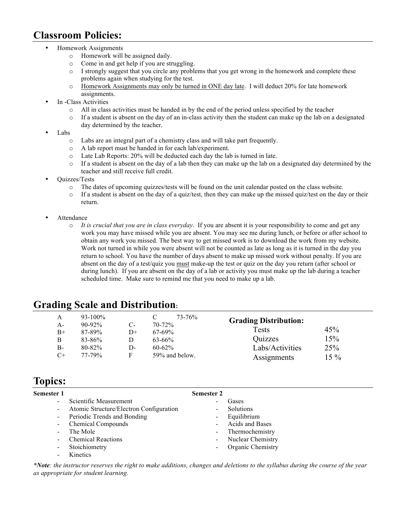### **Classroom Policies:**

- Homework Assignments
	- o Homework will be assigned daily.
	- o Come in and get help if you are struggling.
	- o I strongly suggest that you circle any problems that you get wrong in the homework and complete these problems again when studying for the test.
	- o Homework Assignments may only be turned in ONE day late. I will deduct 20% for late homework assignments.
- In -Class Activities
	- All in class activities must be handed in by the end of the period unless specified by the teacher
	- $\circ$  If a student is absent on the day of an in-class activity then the student can make up the lab on a designated day determined by the teacher.
- Labs
	- o Labs are an integral part of a chemistry class and will take part frequently.
	- o A lab report must be handed in for each lab/experiment.
	- o Late Lab Reports: 20% will be deducted each day the lab is turned in late.
	- o If a student is absent on the day of a lab then they can make up the lab on a designated day determined by the teacher and still receive full credit.
- Quizzes/Tests
	- The dates of upcoming quizzes/tests will be found on the unit calendar posted on the class website.
	- $\circ$  If a student is absent on the day of a quiz/test, then they can make up the missed quiz/test on the day or their return.
- **Attendance** 
	- o *It is crucial that you are in class everyday*. If you are absent it is your responsibility to come and get any work you may have missed while you are absent. You may see me during lunch, or before or after school to obtain any work you missed. The best way to get missed work is to download the work from my website. Work not turned in while you were absent will not be counted as late as long as it is turned in the day you return to school. You have the number of days absent to make up missed work without penalty. If you are absent on the day of a test/quiz you must make-up the test or quiz on the day you return (after school or during lunch). If you are absent on the day of a lab or activity you must make up the lab during a teacher scheduled time. Make sure to remind me that you need to make up a lab.

## **Grading Scale and Distribution:**

| А    | $93 - 100\%$ |            | 73-76%         | <b>Grading Distribution:</b> |        |
|------|--------------|------------|----------------|------------------------------|--------|
| A-   | $90 - 92\%$  | $C_{\tau}$ | $70 - 72\%$    | Tests                        | 45%    |
| $B+$ | 87-89%       | $D+$       | $67-69\%$      |                              |        |
| В    | 83-86%       | D          | $63 - 66\%$    | Quizzes                      | 15%    |
| B-   | $80 - 82\%$  | D-         | $60 - 62\%$    | Labs/Activities              | 25%    |
| $C+$ | 77-79%       | F          | 59% and below. | Assignments                  | $15\%$ |

### **Topics:**

**Semester 1**

| mester 1                 |                                         | <b>Semester 2</b> |                          |  |
|--------------------------|-----------------------------------------|-------------------|--------------------------|--|
| $\overline{\phantom{a}}$ | Scientific Measurement                  |                   | Gases                    |  |
| $\overline{\phantom{a}}$ | Atomic Structure/Electron Configuration |                   | Solutions                |  |
| ۰.                       | Periodic Trends and Bonding             |                   | Equilibrium              |  |
|                          | <b>Chemical Compounds</b>               |                   | <b>Acids and Bases</b>   |  |
|                          | The Mole                                |                   | - Thermochemistry        |  |
|                          | <b>Chemical Reactions</b>               |                   | <b>Nuclear Chemistry</b> |  |
| $\overline{\phantom{0}}$ | Stoichiometry                           |                   | Organic Chemistry        |  |
|                          | <b>Kinetics</b>                         |                   |                          |  |

*\*Note: the instructor reserves the right to make additions, changes and deletions to the syllabus during the course of the year as appropriate for student learning.*